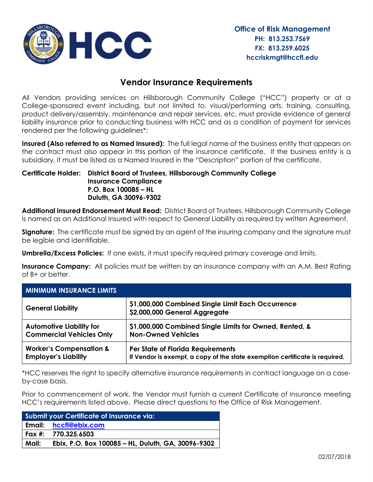

## **Vendor Insurance Requirements**

All Vendors providing services on Hillsborough Community College ("HCC") property or at a College-sponsored event including, but not limited to, visual/performing arts, training, consulting, product delivery/assembly, maintenance and repair services, etc. must provide evidence of general liability insurance prior to conducting business with HCC and as a condition of payment for services rendered per the following guidelines\*:

**Insured (Also referred to as Named Insured):** The full legal name of the business entity that appears on the contract must also appear in this portion of the insurance certificate. If the business entity is a subsidiary, it must be listed as a Named Insured in the "Description" portion of the certificate.

## **Certificate Holder: District Board of Trustees, Hillsborough Community College P.O. Box 100085 – HL Duluth, GA 30096-9302 Insurance Compliance**

**Additional Insured Endorsement Must Read:** District Board of Trustees, Hillsborough Community College is named as an Additional Insured with respect to General Liability as required by written Agreement.

**Signature:** The certificate must be signed by an agent of the insuring company and the signature must be legible and identifiable.

**Umbrella/Excess Policies:** If one exists, it must specify required primary coverage and limits.

**Insurance Company:** All policies must be written by an insurance company with an A.M. Best Rating of B+ or better.

| <b>MINIMUM INSURANCE LIMITS</b>    |                                                                                    |  |  |  |  |  |  |
|------------------------------------|------------------------------------------------------------------------------------|--|--|--|--|--|--|
| <b>General Liability</b>           | \$1,000,000 Combined Single Limit Each Occurrence<br>\$2,000,000 General Aggregate |  |  |  |  |  |  |
| <b>Automotive Liability for</b>    | \$1,000,000 Combined Single Limits for Owned, Rented, &                            |  |  |  |  |  |  |
| <b>Commercial Vehicles Only</b>    | <b>Non-Owned Vehicles</b>                                                          |  |  |  |  |  |  |
| <b>Worker's Compensation &amp;</b> | <b>Per State of Florida Requirements</b>                                           |  |  |  |  |  |  |
| <b>Employer's Liability</b>        | If Vendor is exempt, a copy of the state exemption certificate is required.        |  |  |  |  |  |  |

\*HCC reserves the right to specify alternative insurance requirements in contract language on a caseby-case basis.

Prior to commencement of work, the Vendor must furnish a current Certificate of Insurance meeting HCC's requirements listed above. Please direct questions to the Office of Risk Management.

| Submit your Certificate of Insurance via: |                                                    |  |  |  |  |  |
|-------------------------------------------|----------------------------------------------------|--|--|--|--|--|
|                                           | Email: hccfl@ebix.com                              |  |  |  |  |  |
|                                           | Fax #: 770.325.6503                                |  |  |  |  |  |
| Mail:                                     | Ebix, P.O. Box 100085 - HL, Duluth, GA, 30096-9302 |  |  |  |  |  |